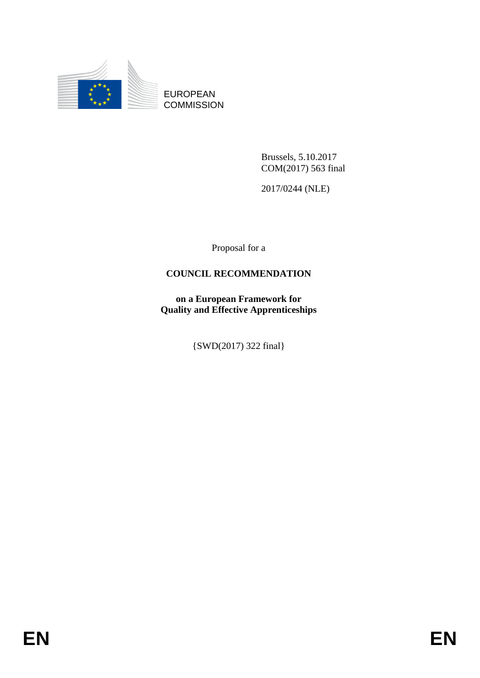

EUROPEAN **COMMISSION** 

> Brussels, 5.10.2017 COM(2017) 563 final

2017/0244 (NLE)

Proposal for a

## **COUNCIL RECOMMENDATION**

**on a European Framework for Quality and Effective Apprenticeships**

{SWD(2017) 322 final}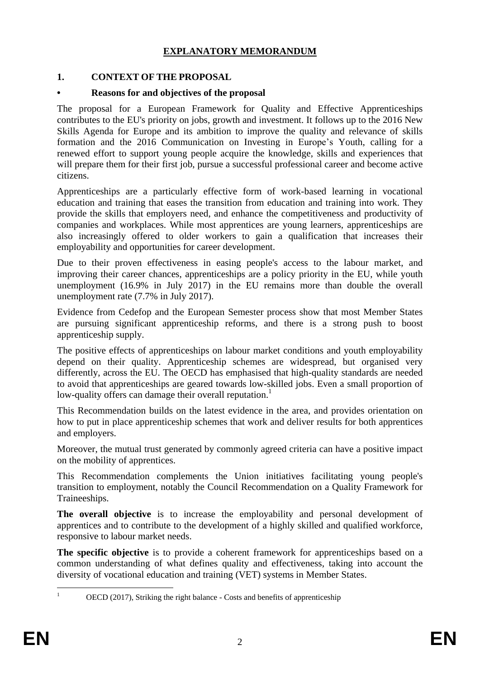## **EXPLANATORY MEMORANDUM**

## **1. CONTEXT OF THE PROPOSAL**

## **• Reasons for and objectives of the proposal**

The proposal for a European Framework for Quality and Effective Apprenticeships contributes to the EU's priority on jobs, growth and investment. It follows up to the 2016 New Skills Agenda for Europe and its ambition to improve the quality and relevance of skills formation and the 2016 Communication on Investing in Europe's Youth, calling for a renewed effort to support young people acquire the knowledge, skills and experiences that will prepare them for their first job, pursue a successful professional career and become active citizens.

Apprenticeships are a particularly effective form of work-based learning in vocational education and training that eases the transition from education and training into work. They provide the skills that employers need, and enhance the competitiveness and productivity of companies and workplaces. While most apprentices are young learners, apprenticeships are also increasingly offered to older workers to gain a qualification that increases their employability and opportunities for career development.

Due to their proven effectiveness in easing people's access to the labour market, and improving their career chances, apprenticeships are a policy priority in the EU, while youth unemployment (16.9% in July 2017) in the EU remains more than double the overall unemployment rate (7.7% in July 2017).

Evidence from Cedefop and the European Semester process show that most Member States are pursuing significant apprenticeship reforms, and there is a strong push to boost apprenticeship supply.

The positive effects of apprenticeships on labour market conditions and youth employability depend on their quality. Apprenticeship schemes are widespread, but organised very differently, across the EU. The OECD has emphasised that high-quality standards are needed to avoid that apprenticeships are geared towards low-skilled jobs. Even a small proportion of low-quality offers can damage their overall reputation.<sup>1</sup>

This Recommendation builds on the latest evidence in the area, and provides orientation on how to put in place apprenticeship schemes that work and deliver results for both apprentices and employers.

Moreover, the mutual trust generated by commonly agreed criteria can have a positive impact on the mobility of apprentices.

This Recommendation complements the Union initiatives facilitating young people's transition to employment, notably the Council Recommendation on a Quality Framework for Traineeships.

**The overall objective** is to increase the employability and personal development of apprentices and to contribute to the development of a highly skilled and qualified workforce, responsive to labour market needs.

**The specific objective** is to provide a coherent framework for apprenticeships based on a common understanding of what defines quality and effectiveness, taking into account the diversity of vocational education and training (VET) systems in Member States.

 $\mathbf{1}$ 

OECD (2017), Striking the right balance - Costs and benefits of apprenticeship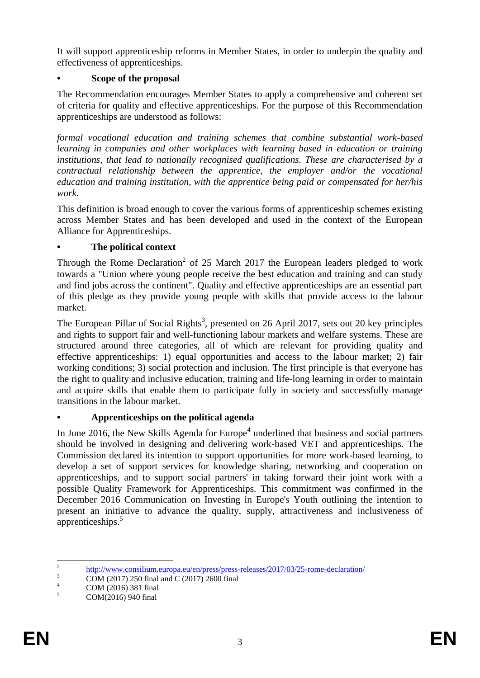It will support apprenticeship reforms in Member States, in order to underpin the quality and effectiveness of apprenticeships.

## **• Scope of the proposal**

The Recommendation encourages Member States to apply a comprehensive and coherent set of criteria for quality and effective apprenticeships. For the purpose of this Recommendation apprenticeships are understood as follows:

*formal vocational education and training schemes that combine substantial work-based learning in companies and other workplaces with learning based in education or training institutions, that lead to nationally recognised qualifications. These are characterised by a contractual relationship between the apprentice, the employer and/or the vocational education and training institution, with the apprentice being paid or compensated for her/his work.* 

This definition is broad enough to cover the various forms of apprenticeship schemes existing across Member States and has been developed and used in the context of the European Alliance for Apprenticeships.

## **• The political context**

Through the Rome Declaration<sup>2</sup> of 25 March 2017 the European leaders pledged to work towards a "Union where young people receive the best education and training and can study and find jobs across the continent". Quality and effective apprenticeships are an essential part of this pledge as they provide young people with skills that provide access to the labour market.

The European Pillar of Social Rights<sup>3</sup>, presented on 26 April 2017, sets out 20 key principles and rights to support fair and well-functioning labour markets and welfare systems. These are structured around three categories, all of which are relevant for providing quality and effective apprenticeships: 1) equal opportunities and access to the labour market; 2) fair working conditions; 3) social protection and inclusion. The first principle is that everyone has the right to quality and inclusive education, training and life-long learning in order to maintain and acquire skills that enable them to participate fully in society and successfully manage transitions in the labour market.

## **• Apprenticeships on the political agenda**

In June 2016, the New Skills Agenda for Europe<sup>4</sup> underlined that business and social partners should be involved in designing and delivering work-based VET and apprenticeships. The Commission declared its intention to support opportunities for more work-based learning, to develop a set of support services for knowledge sharing, networking and cooperation on apprenticeships, and to support social partners' in taking forward their joint work with a possible Quality Framework for Apprenticeships. This commitment was confirmed in the December 2016 Communication on Investing in Europe's Youth outlining the intention to present an initiative to advance the quality, supply, attractiveness and inclusiveness of apprenticeships.<sup>5</sup>

 $\frac{1}{2}$ <http://www.consilium.europa.eu/en/press/press-releases/2017/03/25-rome-declaration/>

<sup>3</sup> COM (2017) 250 final and C (2017) 2600 final

 $^{4}$  COM (2016) 381 final<br> $^{5}$  COM(2016) 040 final

COM(2016) 940 final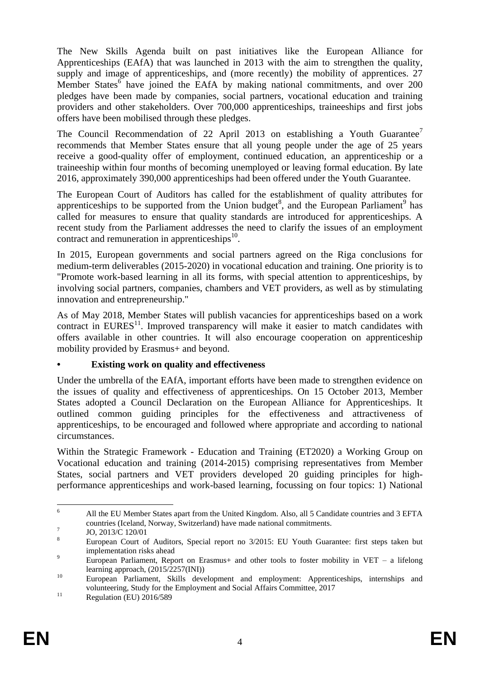The New Skills Agenda built on past initiatives like the European Alliance for Apprenticeships (EAfA) that was launched in 2013 with the aim to strengthen the quality, supply and image of apprenticeships, and (more recently) the mobility of apprentices. 27 Member States $\delta$  have joined the EAfA by making national commitments, and over 200 pledges have been made by companies, social partners, vocational education and training providers and other stakeholders. Over 700,000 apprenticeships, traineeships and first jobs offers have been mobilised through these pledges.

The Council Recommendation of 22 April 2013 on establishing a Youth Guarantee<sup>7</sup> recommends that Member States ensure that all young people under the age of 25 years receive a good-quality offer of employment, continued education, an apprenticeship or a traineeship within four months of becoming unemployed or leaving formal education. By late 2016, approximately 390,000 apprenticeships had been offered under the Youth Guarantee.

The European Court of Auditors has called for the establishment of quality attributes for apprenticeships to be supported from the Union budget<sup>8</sup>, and the European Parliament<sup>9</sup> has called for measures to ensure that quality standards are introduced for apprenticeships. A recent study from the Parliament addresses the need to clarify the issues of an employment contract and remuneration in apprenticeships $^{10}$ .

In 2015, European governments and social partners agreed on the Riga conclusions for medium-term deliverables (2015-2020) in vocational education and training. One priority is to "Promote work-based learning in all its forms, with special attention to apprenticeships, by involving social partners, companies, chambers and VET providers, as well as by stimulating innovation and entrepreneurship."

As of May 2018, Member States will publish vacancies for apprenticeships based on a work contract in  $EURES<sup>11</sup>$ . Improved transparency will make it easier to match candidates with offers available in other countries. It will also encourage cooperation on apprenticeship mobility provided by Erasmus+ and beyond.

## **• Existing work on quality and effectiveness**

Under the umbrella of the EAfA, important efforts have been made to strengthen evidence on the issues of quality and effectiveness of apprenticeships. On 15 October 2013, Member States adopted a Council Declaration on the European Alliance for Apprenticeships. It outlined common guiding principles for the effectiveness and attractiveness of apprenticeships, to be encouraged and followed where appropriate and according to national circumstances.

Within the Strategic Framework - Education and Training (ET2020) a Working Group on Vocational education and training (2014-2015) comprising representatives from Member States, social partners and VET providers developed 20 guiding principles for highperformance apprenticeships and work-based learning, focussing on four topics: 1) National

 $\overline{6}$ <sup>6</sup> All the EU Member States apart from the United Kingdom. Also, all 5 Candidate countries and 3 EFTA countries (Iceland, Norway, Switzerland) have made national commitments.

<sup>7</sup> JO, 2013/C 120/01

<sup>&</sup>lt;sup>8</sup> European Court of Auditors, Special report no 3/2015: EU Youth Guarantee: first steps taken but implementation risks ahead

<sup>9</sup> European Parliament, Report on Erasmus+ and other tools to foster mobility in VET – a lifelong learning approach, (2015/2257(INI))

<sup>&</sup>lt;sup>10</sup> European Parliament, Skills development and employment: Apprenticeships, internships and volunteering, Study for the Employment and Social Affairs Committee, 2017

<sup>&</sup>lt;sup>11</sup> Regulation (EU) 2016/589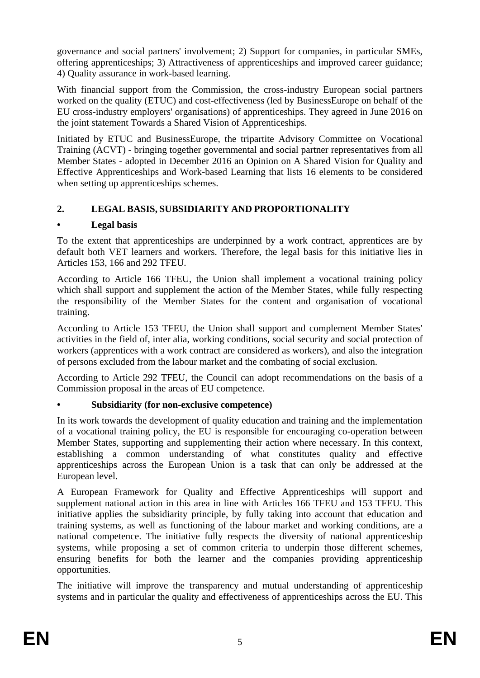governance and social partners' involvement; 2) Support for companies, in particular SMEs, offering apprenticeships; 3) Attractiveness of apprenticeships and improved career guidance; 4) Quality assurance in work-based learning.

With financial support from the Commission, the cross-industry European social partners worked on the quality (ETUC) and cost-effectiveness (led by BusinessEurope on behalf of the EU cross-industry employers' organisations) of apprenticeships. They agreed in June 2016 on the joint statement Towards a Shared Vision of Apprenticeships.

Initiated by ETUC and BusinessEurope, the tripartite Advisory Committee on Vocational Training (ACVT) - bringing together governmental and social partner representatives from all Member States - adopted in December 2016 an Opinion on A Shared Vision for Quality and Effective Apprenticeships and Work-based Learning that lists 16 elements to be considered when setting up apprenticeships schemes.

# **2. LEGAL BASIS, SUBSIDIARITY AND PROPORTIONALITY**

## **• Legal basis**

To the extent that apprenticeships are underpinned by a work contract, apprentices are by default both VET learners and workers. Therefore, the legal basis for this initiative lies in Articles 153, 166 and 292 TFEU.

According to Article 166 TFEU, the Union shall implement a vocational training policy which shall support and supplement the action of the Member States, while fully respecting the responsibility of the Member States for the content and organisation of vocational training.

According to Article 153 TFEU, the Union shall support and complement Member States' activities in the field of, inter alia, working conditions, social security and social protection of workers (apprentices with a work contract are considered as workers), and also the integration of persons excluded from the labour market and the combating of social exclusion.

According to Article 292 TFEU, the Council can adopt recommendations on the basis of a Commission proposal in the areas of EU competence.

## **• Subsidiarity (for non-exclusive competence)**

In its work towards the development of quality education and training and the implementation of a vocational training policy, the EU is responsible for encouraging co-operation between Member States, supporting and supplementing their action where necessary. In this context, establishing a common understanding of what constitutes quality and effective apprenticeships across the European Union is a task that can only be addressed at the European level.

A European Framework for Quality and Effective Apprenticeships will support and supplement national action in this area in line with Articles 166 TFEU and 153 TFEU. This initiative applies the subsidiarity principle, by fully taking into account that education and training systems, as well as functioning of the labour market and working conditions, are a national competence. The initiative fully respects the diversity of national apprenticeship systems, while proposing a set of common criteria to underpin those different schemes, ensuring benefits for both the learner and the companies providing apprenticeship opportunities.

The initiative will improve the transparency and mutual understanding of apprenticeship systems and in particular the quality and effectiveness of apprenticeships across the EU. This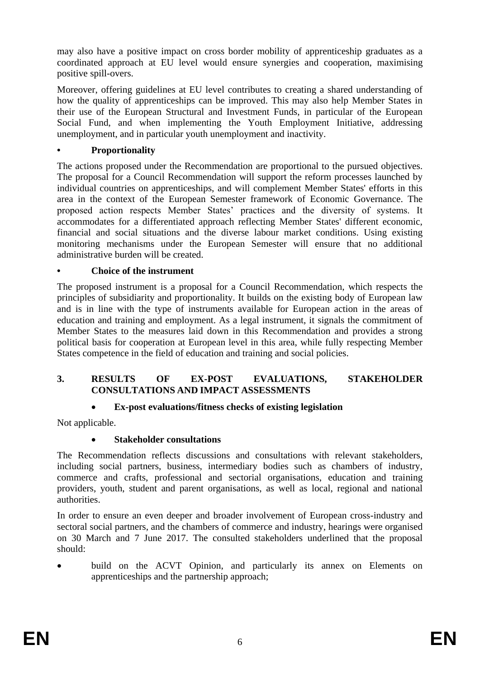may also have a positive impact on cross border mobility of apprenticeship graduates as a coordinated approach at EU level would ensure synergies and cooperation, maximising positive spill-overs.

Moreover, offering guidelines at EU level contributes to creating a shared understanding of how the quality of apprenticeships can be improved. This may also help Member States in their use of the European Structural and Investment Funds, in particular of the European Social Fund, and when implementing the Youth Employment Initiative, addressing unemployment, and in particular youth unemployment and inactivity.

## **• Proportionality**

The actions proposed under the Recommendation are proportional to the pursued objectives. The proposal for a Council Recommendation will support the reform processes launched by individual countries on apprenticeships, and will complement Member States' efforts in this area in the context of the European Semester framework of Economic Governance. The proposed action respects Member States' practices and the diversity of systems. It accommodates for a differentiated approach reflecting Member States' different economic, financial and social situations and the diverse labour market conditions. Using existing monitoring mechanisms under the European Semester will ensure that no additional administrative burden will be created.

## **• Choice of the instrument**

The proposed instrument is a proposal for a Council Recommendation, which respects the principles of subsidiarity and proportionality. It builds on the existing body of European law and is in line with the type of instruments available for European action in the areas of education and training and employment. As a legal instrument, it signals the commitment of Member States to the measures laid down in this Recommendation and provides a strong political basis for cooperation at European level in this area, while fully respecting Member States competence in the field of education and training and social policies.

## **3. RESULTS OF EX-POST EVALUATIONS, STAKEHOLDER CONSULTATIONS AND IMPACT ASSESSMENTS**

# **Ex-post evaluations/fitness checks of existing legislation**

Not applicable.

## **Stakeholder consultations**

The Recommendation reflects discussions and consultations with relevant stakeholders, including social partners, business, intermediary bodies such as chambers of industry, commerce and crafts, professional and sectorial organisations, education and training providers, youth, student and parent organisations, as well as local, regional and national authorities.

In order to ensure an even deeper and broader involvement of European cross-industry and sectoral social partners, and the chambers of commerce and industry, hearings were organised on 30 March and 7 June 2017. The consulted stakeholders underlined that the proposal should:

 build on the ACVT Opinion, and particularly its annex on Elements on apprenticeships and the partnership approach;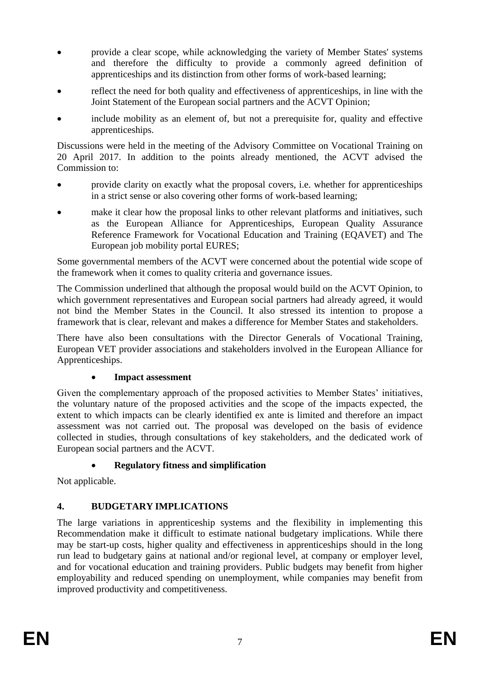- provide a clear scope, while acknowledging the variety of Member States' systems and therefore the difficulty to provide a commonly agreed definition of apprenticeships and its distinction from other forms of work-based learning;
- reflect the need for both quality and effectiveness of apprenticeships, in line with the Joint Statement of the European social partners and the ACVT Opinion;
- include mobility as an element of, but not a prerequisite for, quality and effective apprenticeships.

Discussions were held in the meeting of the Advisory Committee on Vocational Training on 20 April 2017. In addition to the points already mentioned, the ACVT advised the Commission to:

- provide clarity on exactly what the proposal covers, i.e. whether for apprenticeships in a strict sense or also covering other forms of work-based learning;
- make it clear how the proposal links to other relevant platforms and initiatives, such as the European Alliance for Apprenticeships, European Quality Assurance Reference Framework for Vocational Education and Training (EQAVET) and The European job mobility portal EURES;

Some governmental members of the ACVT were concerned about the potential wide scope of the framework when it comes to quality criteria and governance issues.

The Commission underlined that although the proposal would build on the ACVT Opinion, to which government representatives and European social partners had already agreed, it would not bind the Member States in the Council. It also stressed its intention to propose a framework that is clear, relevant and makes a difference for Member States and stakeholders.

There have also been consultations with the Director Generals of Vocational Training, European VET provider associations and stakeholders involved in the European Alliance for Apprenticeships.

## **Impact assessment**

Given the complementary approach of the proposed activities to Member States' initiatives, the voluntary nature of the proposed activities and the scope of the impacts expected, the extent to which impacts can be clearly identified ex ante is limited and therefore an impact assessment was not carried out. The proposal was developed on the basis of evidence collected in studies, through consultations of key stakeholders, and the dedicated work of European social partners and the ACVT.

# **Regulatory fitness and simplification**

Not applicable.

# **4. BUDGETARY IMPLICATIONS**

The large variations in apprenticeship systems and the flexibility in implementing this Recommendation make it difficult to estimate national budgetary implications. While there may be start-up costs, higher quality and effectiveness in apprenticeships should in the long run lead to budgetary gains at national and/or regional level, at company or employer level, and for vocational education and training providers. Public budgets may benefit from higher employability and reduced spending on unemployment, while companies may benefit from improved productivity and competitiveness.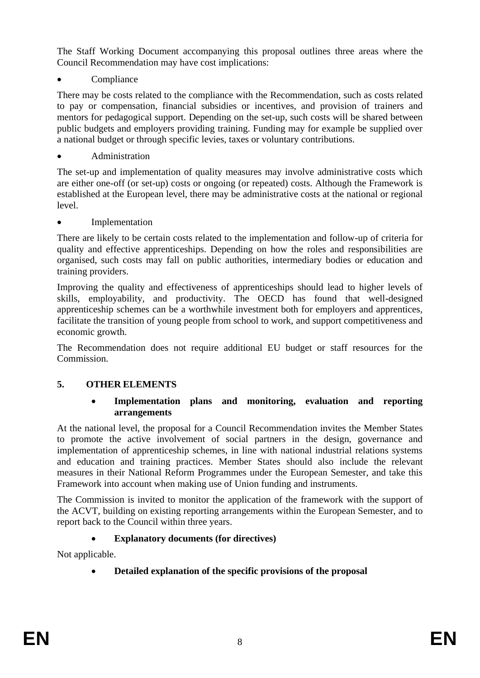The Staff Working Document accompanying this proposal outlines three areas where the Council Recommendation may have cost implications:

**Compliance** 

There may be costs related to the compliance with the Recommendation, such as costs related to pay or compensation, financial subsidies or incentives, and provision of trainers and mentors for pedagogical support. Depending on the set-up, such costs will be shared between public budgets and employers providing training. Funding may for example be supplied over a national budget or through specific levies, taxes or voluntary contributions.

Administration

The set-up and implementation of quality measures may involve administrative costs which are either one-off (or set-up) costs or ongoing (or repeated) costs. Although the Framework is established at the European level, there may be administrative costs at the national or regional level.

Implementation

There are likely to be certain costs related to the implementation and follow-up of criteria for quality and effective apprenticeships. Depending on how the roles and responsibilities are organised, such costs may fall on public authorities, intermediary bodies or education and training providers.

Improving the quality and effectiveness of apprenticeships should lead to higher levels of skills, employability, and productivity. The OECD has found that well-designed apprenticeship schemes can be a worthwhile investment both for employers and apprentices, facilitate the transition of young people from school to work, and support competitiveness and economic growth.

The Recommendation does not require additional EU budget or staff resources for the Commission.

# **5. OTHER ELEMENTS**

#### **Implementation plans and monitoring, evaluation and reporting arrangements**

At the national level, the proposal for a Council Recommendation invites the Member States to promote the active involvement of social partners in the design, governance and implementation of apprenticeship schemes, in line with national industrial relations systems and education and training practices. Member States should also include the relevant measures in their National Reform Programmes under the European Semester, and take this Framework into account when making use of Union funding and instruments.

The Commission is invited to monitor the application of the framework with the support of the ACVT, building on existing reporting arrangements within the European Semester, and to report back to the Council within three years.

# **Explanatory documents (for directives)**

Not applicable.

**Detailed explanation of the specific provisions of the proposal**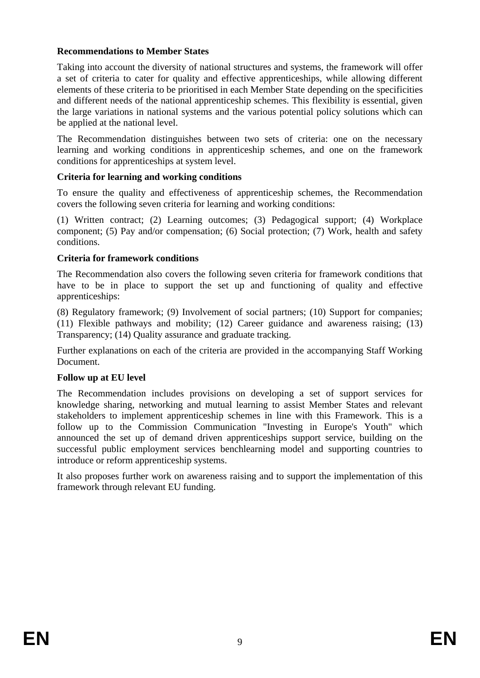#### **Recommendations to Member States**

Taking into account the diversity of national structures and systems, the framework will offer a set of criteria to cater for quality and effective apprenticeships, while allowing different elements of these criteria to be prioritised in each Member State depending on the specificities and different needs of the national apprenticeship schemes. This flexibility is essential, given the large variations in national systems and the various potential policy solutions which can be applied at the national level.

The Recommendation distinguishes between two sets of criteria: one on the necessary learning and working conditions in apprenticeship schemes, and one on the framework conditions for apprenticeships at system level.

## **Criteria for learning and working conditions**

To ensure the quality and effectiveness of apprenticeship schemes, the Recommendation covers the following seven criteria for learning and working conditions:

(1) Written contract; (2) Learning outcomes; (3) Pedagogical support; (4) Workplace component; (5) Pay and/or compensation; (6) Social protection; (7) Work, health and safety conditions.

## **Criteria for framework conditions**

The Recommendation also covers the following seven criteria for framework conditions that have to be in place to support the set up and functioning of quality and effective apprenticeships:

(8) Regulatory framework; (9) Involvement of social partners; (10) Support for companies; (11) Flexible pathways and mobility; (12) Career guidance and awareness raising; (13) Transparency; (14) Quality assurance and graduate tracking.

Further explanations on each of the criteria are provided in the accompanying Staff Working Document.

## **Follow up at EU level**

The Recommendation includes provisions on developing a set of support services for knowledge sharing, networking and mutual learning to assist Member States and relevant stakeholders to implement apprenticeship schemes in line with this Framework. This is a follow up to the Commission Communication "Investing in Europe's Youth" which announced the set up of demand driven apprenticeships support service, building on the successful public employment services benchlearning model and supporting countries to introduce or reform apprenticeship systems.

It also proposes further work on awareness raising and to support the implementation of this framework through relevant EU funding.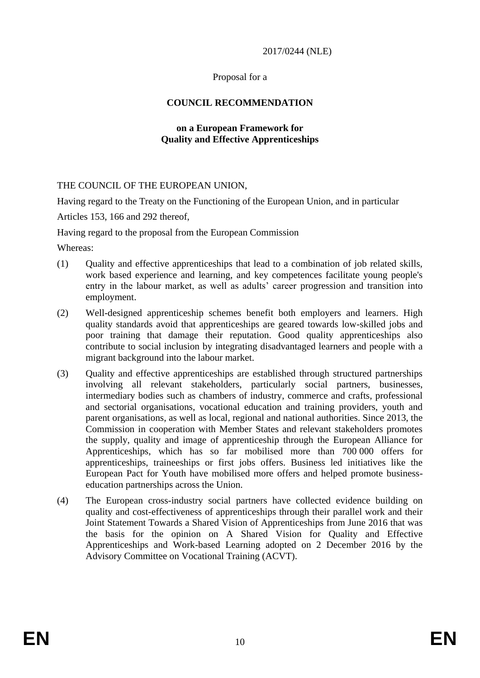2017/0244 (NLE)

#### Proposal for a

## **COUNCIL RECOMMENDATION**

#### **on a European Framework for Quality and Effective Apprenticeships**

#### THE COUNCIL OF THE EUROPEAN UNION,

Having regard to the Treaty on the Functioning of the European Union, and in particular

Articles 153, 166 and 292 thereof,

Having regard to the proposal from the European Commission

Whereas:

- (1) Quality and effective apprenticeships that lead to a combination of job related skills, work based experience and learning, and key competences facilitate young people's entry in the labour market, as well as adults' career progression and transition into employment.
- (2) Well-designed apprenticeship schemes benefit both employers and learners. High quality standards avoid that apprenticeships are geared towards low-skilled jobs and poor training that damage their reputation. Good quality apprenticeships also contribute to social inclusion by integrating disadvantaged learners and people with a migrant background into the labour market.
- (3) Quality and effective apprenticeships are established through structured partnerships involving all relevant stakeholders, particularly social partners, businesses, intermediary bodies such as chambers of industry, commerce and crafts, professional and sectorial organisations, vocational education and training providers, youth and parent organisations, as well as local, regional and national authorities. Since 2013, the Commission in cooperation with Member States and relevant stakeholders promotes the supply, quality and image of apprenticeship through the European Alliance for Apprenticeships, which has so far mobilised more than 700 000 offers for apprenticeships, traineeships or first jobs offers. Business led initiatives like the European Pact for Youth have mobilised more offers and helped promote businesseducation partnerships across the Union.
- (4) The European cross-industry social partners have collected evidence building on quality and cost-effectiveness of apprenticeships through their parallel work and their Joint Statement Towards a Shared Vision of Apprenticeships from June 2016 that was the basis for the opinion on A Shared Vision for Quality and Effective Apprenticeships and Work-based Learning adopted on 2 December 2016 by the Advisory Committee on Vocational Training (ACVT).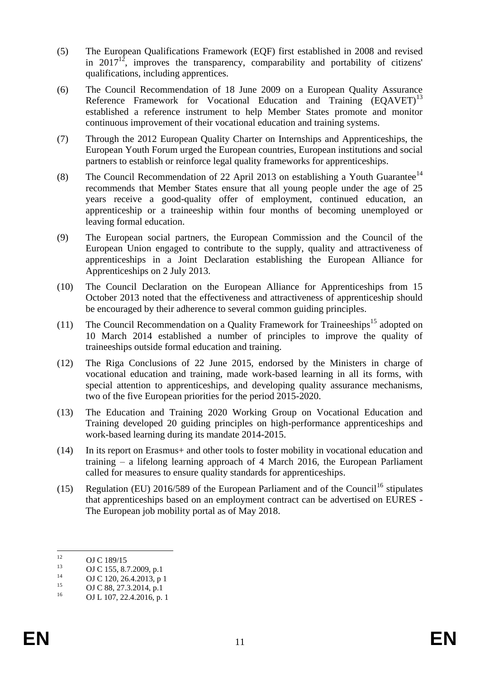- (5) The European Qualifications Framework (EQF) first established in 2008 and revised in 2017<sup>12</sup>, improves the transparency, comparability and portability of citizens' qualifications, including apprentices.
- (6) The Council Recommendation of 18 June 2009 on a European Quality Assurance Reference Framework for Vocational Education and Training (EQAVET)<sup>13</sup> established a reference instrument to help Member States promote and monitor continuous improvement of their vocational education and training systems.
- (7) Through the 2012 European Quality Charter on Internships and Apprenticeships, the European Youth Forum urged the European countries, European institutions and social partners to establish or reinforce legal quality frameworks for apprenticeships.
- (8) The Council Recommendation of 22 April 2013 on establishing a Youth Guarantee<sup>14</sup> recommends that Member States ensure that all young people under the age of 25 years receive a good-quality offer of employment, continued education, an apprenticeship or a traineeship within four months of becoming unemployed or leaving formal education.
- (9) The European social partners, the European Commission and the Council of the European Union engaged to contribute to the supply, quality and attractiveness of apprenticeships in a Joint Declaration establishing the European Alliance for Apprenticeships on 2 July 2013.
- (10) The Council Declaration on the European Alliance for Apprenticeships from 15 October 2013 noted that the effectiveness and attractiveness of apprenticeship should be encouraged by their adherence to several common guiding principles.
- (11) The Council Recommendation on a Quality Framework for Traineeships<sup>15</sup> adopted on 10 March 2014 established a number of principles to improve the quality of traineeships outside formal education and training.
- (12) The Riga Conclusions of 22 June 2015, endorsed by the Ministers in charge of vocational education and training, made work-based learning in all its forms, with special attention to apprenticeships, and developing quality assurance mechanisms, two of the five European priorities for the period 2015-2020.
- (13) The Education and Training 2020 Working Group on Vocational Education and Training developed 20 guiding principles on high-performance apprenticeships and work-based learning during its mandate 2014-2015.
- (14) In its report on Erasmus+ and other tools to foster mobility in vocational education and training – a lifelong learning approach of 4 March 2016, the European Parliament called for measures to ensure quality standards for apprenticeships.
- (15) Regulation (EU) 2016/589 of the European Parliament and of the Council<sup>16</sup> stipulates that apprenticeships based on an employment contract can be advertised on EURES - The European job mobility portal as of May 2018.

 $12$  $^{12}$  OJ C 189/15

<sup>&</sup>lt;sup>13</sup> OJ C 155, 8.7.2009, p.1<br><sup>14</sup> OJ G 120, 26.4.2012

<sup>&</sup>lt;sup>14</sup> OJ C 120, 26.4.2013, p 1<br>15 OJ C 88, 27, 2, 2014, p 1

<sup>&</sup>lt;sup>15</sup> OJ C 88, 27.3.2014, p.1<br><sup>16</sup> OJ L 107, 22.4.2016.

OJ L 107, 22.4.2016, p. 1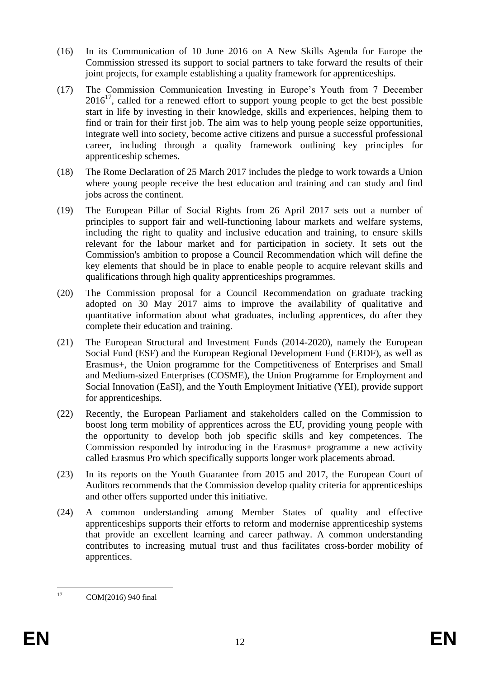- (16) In its Communication of 10 June 2016 on A New Skills Agenda for Europe the Commission stressed its support to social partners to take forward the results of their joint projects, for example establishing a quality framework for apprenticeships.
- (17) The Commission Communication Investing in Europe's Youth from 7 December  $2016<sup>17</sup>$ , called for a renewed effort to support young people to get the best possible start in life by investing in their knowledge, skills and experiences, helping them to find or train for their first job. The aim was to help young people seize opportunities, integrate well into society, become active citizens and pursue a successful professional career, including through a quality framework outlining key principles for apprenticeship schemes.
- (18) The Rome Declaration of 25 March 2017 includes the pledge to work towards a Union where young people receive the best education and training and can study and find jobs across the continent.
- (19) The European Pillar of Social Rights from 26 April 2017 sets out a number of principles to support fair and well-functioning labour markets and welfare systems, including the right to quality and inclusive education and training, to ensure skills relevant for the labour market and for participation in society. It sets out the Commission's ambition to propose a Council Recommendation which will define the key elements that should be in place to enable people to acquire relevant skills and qualifications through high quality apprenticeships programmes.
- (20) The Commission proposal for a Council Recommendation on graduate tracking adopted on 30 May 2017 aims to improve the availability of qualitative and quantitative information about what graduates, including apprentices, do after they complete their education and training.
- (21) The European Structural and Investment Funds (2014-2020), namely the European Social Fund (ESF) and the European Regional Development Fund (ERDF), as well as Erasmus+, the Union programme for the Competitiveness of Enterprises and Small and Medium-sized Enterprises (COSME), the Union Programme for Employment and Social Innovation (EaSI), and the Youth Employment Initiative (YEI), provide support for apprenticeships.
- (22) Recently, the European Parliament and stakeholders called on the Commission to boost long term mobility of apprentices across the EU, providing young people with the opportunity to develop both job specific skills and key competences. The Commission responded by introducing in the Erasmus+ programme a new activity called Erasmus Pro which specifically supports longer work placements abroad.
- (23) In its reports on the Youth Guarantee from 2015 and 2017, the European Court of Auditors recommends that the Commission develop quality criteria for apprenticeships and other offers supported under this initiative.
- (24) A common understanding among Member States of quality and effective apprenticeships supports their efforts to reform and modernise apprenticeship systems that provide an excellent learning and career pathway. A common understanding contributes to increasing mutual trust and thus facilitates cross-border mobility of apprentices.

 $17\text{ }$ COM(2016) 940 final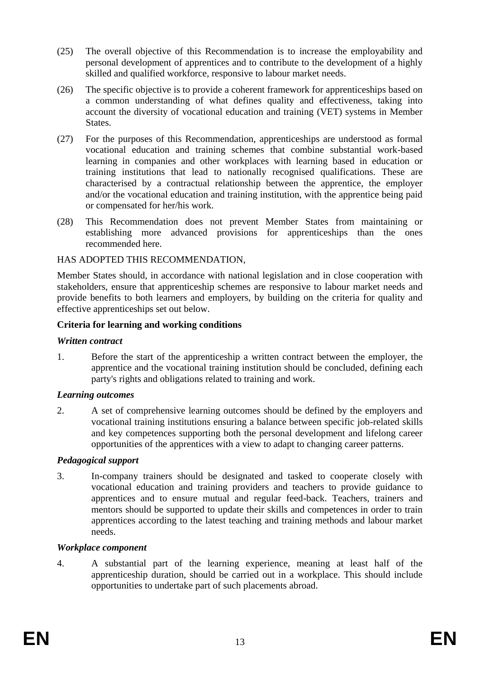- (25) The overall objective of this Recommendation is to increase the employability and personal development of apprentices and to contribute to the development of a highly skilled and qualified workforce, responsive to labour market needs.
- (26) The specific objective is to provide a coherent framework for apprenticeships based on a common understanding of what defines quality and effectiveness, taking into account the diversity of vocational education and training (VET) systems in Member States.
- (27) For the purposes of this Recommendation, apprenticeships are understood as formal vocational education and training schemes that combine substantial work-based learning in companies and other workplaces with learning based in education or training institutions that lead to nationally recognised qualifications. These are characterised by a contractual relationship between the apprentice, the employer and/or the vocational education and training institution, with the apprentice being paid or compensated for her/his work.
- (28) This Recommendation does not prevent Member States from maintaining or establishing more advanced provisions for apprenticeships than the ones recommended here.

#### HAS ADOPTED THIS RECOMMENDATION,

Member States should, in accordance with national legislation and in close cooperation with stakeholders, ensure that apprenticeship schemes are responsive to labour market needs and provide benefits to both learners and employers, by building on the criteria for quality and effective apprenticeships set out below.

#### **Criteria for learning and working conditions**

#### *Written contract*

1. Before the start of the apprenticeship a written contract between the employer, the apprentice and the vocational training institution should be concluded, defining each party's rights and obligations related to training and work.

#### *Learning outcomes*

2. A set of comprehensive learning outcomes should be defined by the employers and vocational training institutions ensuring a balance between specific job-related skills and key competences supporting both the personal development and lifelong career opportunities of the apprentices with a view to adapt to changing career patterns.

#### *Pedagogical support*

3. In-company trainers should be designated and tasked to cooperate closely with vocational education and training providers and teachers to provide guidance to apprentices and to ensure mutual and regular feed-back. Teachers, trainers and mentors should be supported to update their skills and competences in order to train apprentices according to the latest teaching and training methods and labour market needs.

## *Workplace component*

4. A substantial part of the learning experience, meaning at least half of the apprenticeship duration, should be carried out in a workplace. This should include opportunities to undertake part of such placements abroad.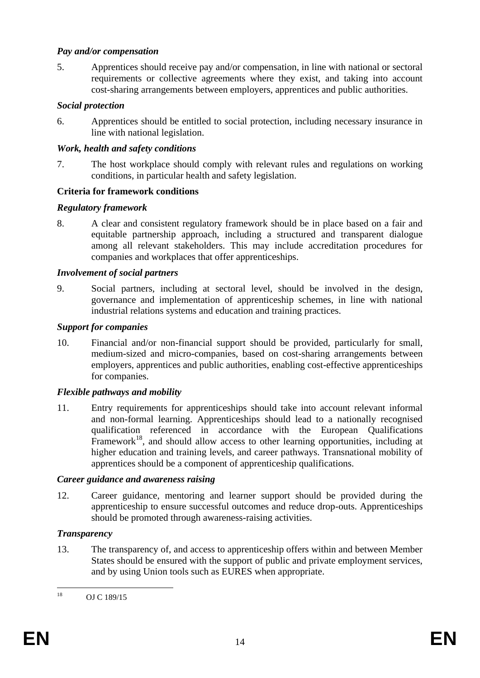#### *Pay and/or compensation*

5. Apprentices should receive pay and/or compensation, in line with national or sectoral requirements or collective agreements where they exist, and taking into account cost-sharing arrangements between employers, apprentices and public authorities.

## *Social protection*

6. Apprentices should be entitled to social protection, including necessary insurance in line with national legislation.

## *Work, health and safety conditions*

7. The host workplace should comply with relevant rules and regulations on working conditions, in particular health and safety legislation.

# **Criteria for framework conditions**

## *Regulatory framework*

8. A clear and consistent regulatory framework should be in place based on a fair and equitable partnership approach, including a structured and transparent dialogue among all relevant stakeholders. This may include accreditation procedures for companies and workplaces that offer apprenticeships.

## *Involvement of social partners*

9. Social partners, including at sectoral level, should be involved in the design, governance and implementation of apprenticeship schemes, in line with national industrial relations systems and education and training practices.

## *Support for companies*

10. Financial and/or non-financial support should be provided, particularly for small, medium-sized and micro-companies, based on cost-sharing arrangements between employers, apprentices and public authorities, enabling cost-effective apprenticeships for companies.

# *Flexible pathways and mobility*

11. Entry requirements for apprenticeships should take into account relevant informal and non-formal learning. Apprenticeships should lead to a nationally recognised qualification referenced in accordance with the European Qualifications Framework<sup>18</sup>, and should allow access to other learning opportunities, including at higher education and training levels, and career pathways. Transnational mobility of apprentices should be a component of apprenticeship qualifications.

## *Career guidance and awareness raising*

12. Career guidance, mentoring and learner support should be provided during the apprenticeship to ensure successful outcomes and reduce drop-outs. Apprenticeships should be promoted through awareness-raising activities.

# *Transparency*

13. The transparency of, and access to apprenticeship offers within and between Member States should be ensured with the support of public and private employment services, and by using Union tools such as EURES when appropriate.

 $18\,$ OJ C 189/15